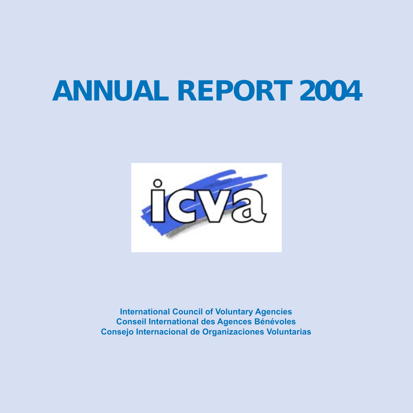# **ANNUAL REPORT 2004**



**International Council of Voluntary Agencies Conseil International des Agences Bénévoles Consejo Internacional de Organizaciones Voluntarias**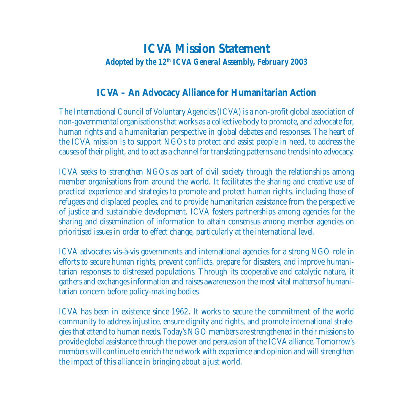### **ICVA Mission Statement** *Adopted by the 12th ICVA General Assembly, February 2003*

#### **ICVA – An Advocacy Alliance for Humanitarian Action**

The International Council of Voluntary Agencies (ICVA) is a non-profit global association of non-governmental organisations that works as a collective body to promote, and advocate for, human rights and a humanitarian perspective in global debates and responses. The heart of the ICVA mission is to support NGOs to protect and assist people in need, to address the causes of their plight, and to act as a channel for translating patterns and trends into advocacy.

ICVA seeks to strengthen NGOs as part of civil society through the relationships among member organisations from around the world. It facilitates the sharing and creative use of practical experience and strategies to promote and protect human rights, including those of refugees and displaced peoples, and to provide humanitarian assistance from the perspective of justice and sustainable development. ICVA fosters partnerships among agencies for the sharing and dissemination of information to attain consensus among member agencies on prioritised issues in order to effect change, particularly at the international level.

ICVA advocates vis-à-vis governments and international agencies for a strong NGO role in efforts to secure human rights, prevent conflicts, prepare for disasters, and improve humanitarian responses to distressed populations. Through its cooperative and catalytic nature, it gathers and exchanges information and raises awareness on the most vital matters of humanitarian concern before policy-making bodies.

ICVA has been in existence since 1962. It works to secure the commitment of the world community to address injustice, ensure dignity and rights, and promote international strategies that attend to human needs. Today's NGO members are strengthened in their missions to provide global assistance through the power and persuasion of the ICVA alliance. Tomorrow's members will continue to enrich the network with experience and opinion and will strengthen the impact of this alliance in bringing about a just world.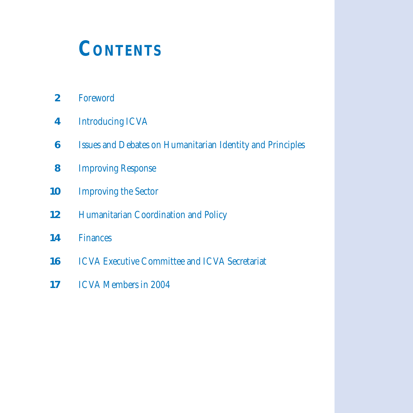### **CONTENTS**

- Foreword
- Introducing ICVA
- Issues and Debates on Humanitarian Identity and Principles
- Improving Response
- Improving the Sector
- Humanitarian Coordination and Policy
- Finances
- ICVA Executive Committee and ICVA Secretariat
- ICVA Members in 2004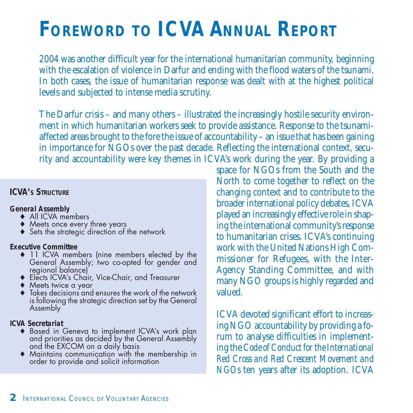## **FOREWORD TO ICVA ANNUAL REPORT**

2004 was another difficult year for the international humanitarian community, beginning with the escalation of violence in Darfur and ending with the flood waters of the tsunami. In both cases, the issue of humanitarian response was dealt with at the highest political levels and subjected to intense media scrutiny.

The Darfur crisis – and many others – illustrated the increasingly hostile security environment in which humanitarian workers seek to provide assistance. Response to the tsunamiaffected areas brought to the fore the issue of accountability – an issue that has been gaining in importance for NGOs over the past decade. Reflecting the international context, security and accountability were key themes in ICVA's work during the year. By providing a

#### **ICVA's STRUCTURE**

#### **General Assembly**

- ♦ All ICVA members
- ♦ Meets once every three years
- ◆ Sets the strategic direction of the network

#### **Executive Committee**

- ♦ 11 ICVA members (nine members elected by the General Assembly; two co-opted for gender and regional balance)
- ♦ Elects ICVA's Chair, Vice-Chair, and Treasurer
- ♦ Meets twice a year
- $\blacklozenge$  Takes decisions and ensures the work of the network is following the strategic direction set by the General Assembly

#### **ICVA Secretariat**

- ♦ Based in Geneva to implement ICVA's work plan and priorities as decided by the General Assembly and the EXCOM on a daily basis
- ♦ Maintains communication with the membership in order to provide and solicit information

space for NGOs from the South and the North to come together to reflect on the changing context and to contribute to the broader international policy debates, ICVA played an increasingly effective role in shaping the international community's response to humanitarian crises. ICVA's continuing work with the United Nations High Commissioner for Refugees, with the Inter-Agency Standing Committee, and with many NGO groups is highly regarded and valued.

ICVA devoted significant effort to increasing NGO accountability by providing a forum to analyse difficulties in implementing the *Code of Conduct for the International Red Cross and Red Crescent Movement and NGOs* ten years after its adoption. ICVA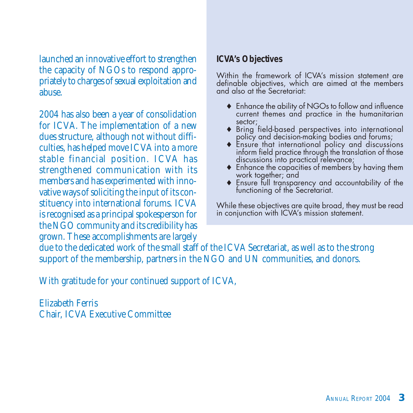launched an innovative effort to strengthen the capacity of NGOs to respond appropriately to charges of sexual exploitation and abuse.

2004 has also been a year of consolidation for ICVA. The implementation of a new dues structure, although not without difficulties, has helped move ICVA into a more stable financial position. ICVA has strengthened communication with its members and has experimented with innovative ways of soliciting the input of its constituency into international forums. ICVA is recognised as a principal spokesperson for the NGO community and its credibility has grown. These accomplishments are largely

#### **ICVA's Objectives**

Within the framework of ICVA's mission statement are definable objectives, which are aimed at the members and also at the Secretariat:

- ♦ Enhance the ability of NGOs to follow and influence current themes and practice in the humanitarian sector;
- ♦ Bring field-based perspectives into international policy and decision-making bodies and forums;
- ♦ Ensure that international policy and discussions inform field practice through the translation of those discussions into practical relevance;
- ♦ Enhance the capacities of members by having them work together; and
- ♦ Ensure full transparency and accountability of the functioning of the Secretariat.

While these objectives are quite broad, they must be read in conjunction with ICVA's mission statement.

due to the dedicated work of the small staff of the ICVA Secretariat, as well as to the strong support of the membership, partners in the NGO and UN communities, and donors.

With gratitude for your continued support of ICVA,

Elizabeth Ferris Chair, ICVA Executive Committee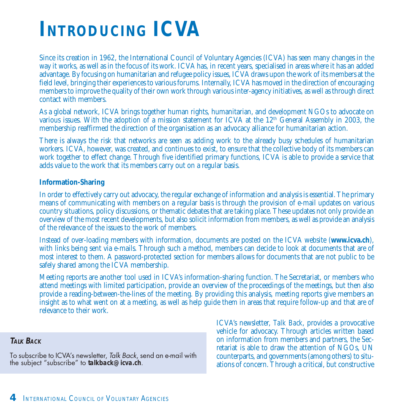## **INTRODUCING ICVA**

Since its creation in 1962, the International Council of Voluntary Agencies (ICVA) has seen many changes in the way it works, as well as in the focus of its work. ICVA has, in recent years, specialised in areas where it has an added advantage. By focusing on humanitarian and refugee policy issues, ICVA draws upon the work of its members at the field level, bringing their experiences to various forums. Internally, ICVA has moved in the direction of encouraging members to improve the quality of their own work through various inter-agency initiatives, as well as through direct contact with members.

As a global network, ICVA brings together human rights, humanitarian, and development NGOs to advocate on various issues. With the adoption of a mission statement for ICVA at the 12<sup>th</sup> General Assembly in 2003, the membership reaffirmed the direction of the organisation as an advocacy alliance for humanitarian action.

There is always the risk that networks are seen as adding work to the already busy schedules of humanitarian workers. ICVA, however, was created, and continues to exist, to ensure that the collective body of its members can work together to effect change. Through five identified primary functions, ICVA is able to provide a service that adds value to the work that its members carry out on a regular basis.

#### **Information-Sharing**

In order to effectively carry out advocacy, the regular exchange of information and analysis is essential. The primary means of communicating with members on a regular basis is through the provision of e-mail updates on various country situations, policy discussions, or thematic debates that are taking place. These updates not only provide an overview of the most recent developments, but also solicit information from members, as well as provide an analysis of the relevance of the issues to the work of members.

Instead of over-loading members with information, documents are posted on the ICVA website (**www.icva.ch**), with links being sent via e-mails. Through such a method, members can decide to look at documents that are of most interest to them. A password-protected section for members allows for documents that are not public to be safely shared among the ICVA membership.

Meeting reports are another tool used in ICVA's information-sharing function. The Secretariat, or members who attend meetings with limited participation, provide an overview of the proceedings of the meetings, but then also provide a reading-between-the-lines of the meeting. By providing this analysis, meeting reports give members an insight as to what went on at a meeting, as well as help guide them in areas that require follow-up and that are of relevance to their work.

#### **TAIKBACK**

To subscribe to ICVA's newsletter, Talk Back, send an e-mail with the subject "subscribe" to **talkback@icva.ch**.

ICVA's newsletter, *Talk Back*, provides a provocative vehicle for advocacy. Through articles written based on information from members and partners, the Secretariat is able to draw the attention of NGOs, UN counterparts, and governments (among others) to situations of concern. Through a critical, but constructive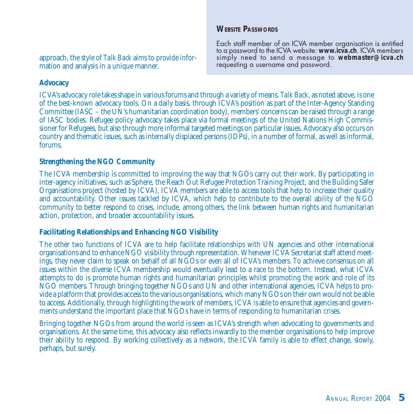#### **WEBSITE PASSWORDS**

approach, the style of *Talk Back* aims to provide information and analysis in a unique manner.

Each staff member of an ICVA member organisation is entitled to a password to the ICVA website: **www.icva.ch**. ICVA members simply need to send a message to **webmaster@icva.ch** requesting a username and password.

#### **Advocacy**

ICVA's advocacy role takes shape in various forums and through a variety of means. *Talk Back*, as noted above, is one of the best-known advocacy tools. On a daily basis, through ICVA's position as part of the Inter-Agency Standing Committee (IASC – the UN's humanitarian coordination body), members' concerns can be raised through a range of IASC bodies. Refugee policy advocacy takes place via formal meetings of the United Nations High Commissioner for Refugees, but also through more informal targeted meetings on particular issues. Advocacy also occurs on country and thematic issues, such as internally displaced persons (IDPs), in a number of formal, as well as informal, forums.

#### **Strengthening the NGO Community**

The ICVA membership is committed to improving the way that NGOs carry out their work. By participating in inter-agency initiatives, such as Sphere, the Reach Out Refugee Protection Training Project, and the Building Safer Organisations project (hosted by ICVA), ICVA members are able to access tools that help to increase their quality and accountability. Other issues tackled by ICVA, which help to contribute to the overall ability of the NGO community to better respond to crises, include, among others, the link between human rights and humanitarian action, protection, and broader accountability issues.

#### **Facilitating Relationships and Enhancing NGO Visibility**

The other two functions of ICVA are to help facilitate relationships with UN agencies and other international organisations and to enhance NGO visibility through representation. Whenever ICVA Secretariat staff attend meetings, they never claim to speak on behalf of all NGOs or even all of ICVA's members. To achieve consensus on all issues within the diverse ICVA membership would eventually lead to a race to the bottom. Instead, what ICVA attempts to do is promote human rights and humanitarian principles whilst promoting the work and role of its NGO members. Through bringing together NGOs and UN and other international agencies, ICVA helps to provide a platform that provides access to the various organisations, which many NGOs on their own would not be able to access. Additionally, through highlighting the work of members, ICVA is able to ensure that agencies and governments understand the important place that NGOs have in terms of responding to humanitarian crises.

Bringing together NGOs from around the world is seen as ICVA's strength when advocating to governments and organisations. At the same time, this advocacy also reflects inwardly to the member organisations to help improve their ability to respond. By working collectively as a network, the ICVA family is able to effect change, slowly, perhaps, but surely.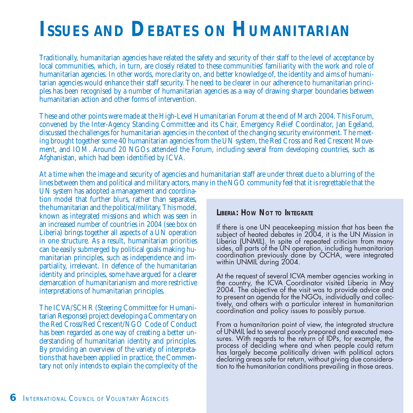### **ISSUES AND DEBATES ON HUMANITARIAN**

Traditionally, humanitarian agencies have related the safety and security of their staff to the level of acceptance by local communities, which, in turn, are closely related to these communities' familiarity with the work and role of humanitarian agencies. In other words, more clarity on, and better knowledge of, the identity and aims of humanitarian agencies would enhance their staff security. The need to be clearer in our adherence to humanitarian principles has been recognised by a number of humanitarian agencies as a way of drawing sharper boundaries between humanitarian action and other forms of intervention.

These and other points were made at the High-Level Humanitarian Forum at the end of March 2004. This Forum, convened by the Inter-Agency Standing Committee and its Chair, Emergency Relief Coordinator, Jan Egeland, discussed the challenges for humanitarian agencies in the context of the changing security environment. The meeting brought together some 40 humanitarian agencies from the UN system, the Red Cross and Red Crescent Movement, and IOM. Around 20 NGOs attended the Forum, including several from developing countries, such as Afghanistan, which had been identified by ICVA.

At a time when the image and security of agencies and humanitarian staff are under threat due to a blurring of the lines between them and political and military actors, many in the NGO community feel that it is regrettable that the

UN system has adopted a management and coordination model that further blurs, rather than separates, the humanitarian and the political/military. This model, known as integrated missions and which was seen in an increased number of countries in 2004 (see box on Liberia) brings together all aspects of a UN operation in one structure. As a result, humanitarian priorities can be easily submerged by political goals making humanitarian principles, such as independence and impartiality, irrelevant. In defence of the humanitarian identity and principles, some have argued for a clearer demarcation of humanitarianism and more restrictive interpretations of humanitarian principles.

The ICVA/SCHR (Steering Committee for Humanitarian Response) project developing a Commentary on the Red Cross/Red Crescent/NGO Code of Conduct has been regarded as one way of creating a better understanding of humanitarian identity and principles. By providing an overview of the variety of interpretations that have been applied in practice, the Commentary not only intends to explain the complexity of the

#### **LIBERIA: HOW NOT TO INTEGRATE**

If there is one UN peacekeeping mission that has been the subject of heated debates in 2004, it is the UN Mission in Liberia (UNMIL). In spite of repeated criticism from many sides, all parts of the UN operation, including humanitarian coordination previously done by OCHA, were integrated within UNMIL during 2004.

At the request of several ICVA member agencies working in the country, the ICVA Coordinator visited Liberia in May 2004. The objective of the visit was to provide advice and to present an agenda for the NGOs, individually and collectively, and others with a particular interest in humanitarian coordination and policy issues to possibly pursue.

From a humanitarian point of view, the integrated structure of UNMIL led to several poorly prepared and executed measures. With regards to the return of IDPs, for example, the process of deciding where and when people could return has largely become politically driven with political actors declaring areas safe for return, without giving due consideration to the humanitarian conditions prevailing in those areas.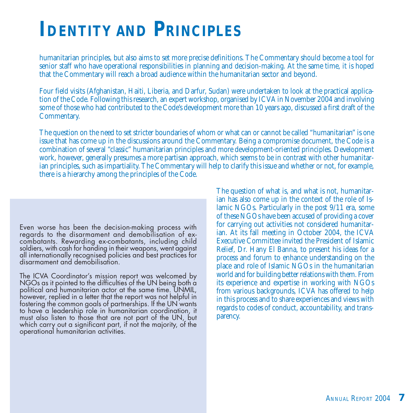### **IDENTITY AND PRINCIPLES**

humanitarian principles, but also aims to set more precise definitions. The Commentary should become a tool for senior staff who have operational responsibilities in planning and decision-making. At the same time, it is hoped that the Commentary will reach a broad audience within the humanitarian sector and beyond.

Four field visits (Afghanistan, Haiti, Liberia, and Darfur, Sudan) were undertaken to look at the practical application of the Code. Following this research, an expert workshop, organised by ICVA in November 2004 and involving some of those who had contributed to the Code's development more than 10 years ago, discussed a first draft of the Commentary.

The question on the need to set stricter boundaries of whom or what can or cannot be called "humanitarian" is one issue that has come up in the discussions around the Commentary. Being a compromise document, the Code is a combination of several "classic" humanitarian principles and more development-oriented principles. Development work, however, generally presumes a more partisan approach, which seems to be in contrast with other humanitarian principles, such as impartiality. The Commentary will help to clarify this issue and whether or not, for example, there is a hierarchy among the principles of the Code.

Even worse has been the decision-making process with regards to the disarmament and demobilisation of excombatants. Rewarding ex-combatants, including child soldiers, with cash for handing in their weapons, went against all internationally recognised policies and best practices for disarmament and demobilisation.

The ICVA Coordinator's mission report was welcomed by NGOs as it pointed to the difficulties of the UN being both a political and humanitarian actor at the same time. UNMIL, however, replied in a letter that the report was not helpful in fostering the common goals of partnerships. If the UN wants to have a leadership role in humanitarian coordination, it must also listen to those that are not part of the UN, but which carry out a significant part, if not the majority, of the operational humanitarian activities.

The question of what is, and what is not, humanitarian has also come up in the context of the role of Islamic NGOs. Particularly in the post 9/11 era, some of these NGOs have been accused of providing a cover for carrying out activities not considered humanitarian. At its fall meeting in October 2004, the ICVA Executive Committee invited the President of Islamic Relief, Dr. Hany El Banna, to present his ideas for a process and forum to enhance understanding on the place and role of Islamic NGOs in the humanitarian world and for building better relations with them. From its experience and expertise in working with NGOs from various backgrounds, ICVA has offered to help in this process and to share experiences and views with regards to codes of conduct, accountability, and transparency.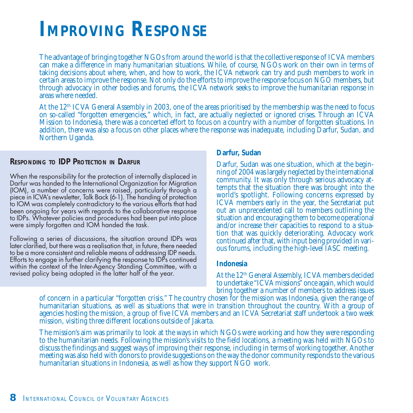### **IMPROVING RESPONSE**

The advantage of bringing together NGOs from around the world is that the collective response of ICVA members can make a difference in many humanitarian situations. While, of course, NGOs work on their own in terms of taking decisions about where, when, and how to work, the ICVA network can try and push members to work in certain areas to improve the response. Not only do the efforts to improve the response focus on NGO members, but through advocacy in other bodies and forums, the ICVA network seeks to improve the humanitarian response in areas where needed.

At the 12<sup>th</sup> ICVA General Assembly in 2003, one of the areas prioritised by the membership was the need to focus on so-called "forgotten emergencies," which, in fact, are actually neglected or ignored crises. Through an ICVA Mission to Indonesia, there was a concerted effort to focus on a country with a number of forgotten situations. In addition, there was also a focus on other places where the response was inadequate, including Darfur, Sudan, and Northern Uganda.

#### **RESPONDING TO IDP PROTECTION IN DARFUR**

When the responsibility for the protection of internally displaced in Darfur was handed to the International Organization for Migration (IOM), a number of concerns were raised, particularly through a piece in ICVA's newsletter, Talk Back (6-1). The handing of protection to IOM was completely contradictory to the various efforts that had been ongoing for years with regards to the collaborative response to IDPs. Whatever policies and procedures had been put into place were simply forgotten and IOM handed the task.

Following a series of discussions, the situation around IDPs was later clarified, but there was a realisation that, in future, there needed to be a more consistent and reliable means of addressing IDP needs. Efforts to engage in further clarifying the response to IDPs continued within the context of the Inter-Agency Standing Committee, with a revised policy being adopted in the latter half of the year.

#### **Darfur, Sudan**

Darfur, Sudan was one situation, which at the beginning of 2004 was largely neglected by the international community. It was only through serious advocacy attempts that the situation there was brought into the world's spotlight. Following concerns expressed by ICVA members early in the year, the Secretariat put out an unprecedented call to members outlining the situation and encouraging them to become operational and/or increase their capacities to respond to a situation that was quickly deteriorating. Advocacy work continued after that, with input being provided in various forums, including the high-level IASC meeting.

#### **Indonesia**

At the 12th General Assembly, ICVA members decided to undertake "ICVA missions" once again, which would bring together a number of members to address issues

of concern in a particular "forgotten crisis." The country chosen for the mission was Indonesia, given the range of humanitarian situations, as well as situations that were in transition throughout the country. With a group of agencies hosting the mission, a group of five ICVA members and an ICVA Secretariat staff undertook a two week mission, visiting three different locations outside of Jakarta.

The mission's aim was primarily to look at the ways in which NGOs were working and how they were responding to the humanitarian needs. Following the mission's visits to the field locations, a meeting was held with NGOs to discuss the findings and suggest ways of improving their response, including in terms of working together. Another meeting was also held with donors to provide suggestions on the way the donor community responds to the various humanitarian situations in Indonesia, as well as how they support NGO work.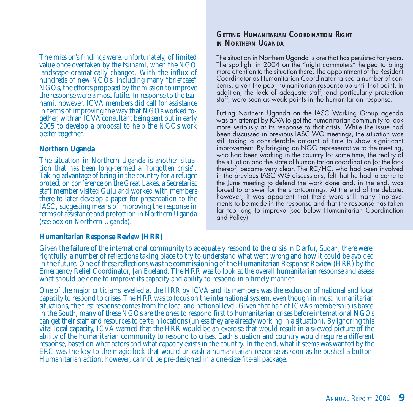The mission's findings were, unfortunately, of limited value once overtaken by the tsunami, when the NGO landscape dramatically changed. With the influx of hundreds of new NGOs, including many "briefcase" NGOs, the efforts proposed by the mission to improve the response were almost futile. In response to the tsunami, however, ICVA members did call for assistance in terms of improving the way that NGOs worked together, with an ICVA consultant being sent out in early 2005 to develop a proposal to help the NGOs work better together.

#### **Northern Uganda**

The situation in Northern Uganda is another situation that has been long-termed a "forgotten crisis". Taking advantage of being in the country for a refugee protection conference on the Great Lakes, a Secretariat staff member visited Gulu and worked with members there to later develop a paper for presentation to the IASC, suggesting means of improving the response in terms of assistance and protection in Northern Uganda (see box on Northern Uganda).

#### **GETTING HUMANITARIAN COORDINATION RIGHT IN NORTHERN UGANDA**

The situation in Northern Uganda is one that has persisted for years. The spotlight in 2004 on the "night commuters" helped to bring more attention to the situation there. The appointment of the Resident Coordinator as Humanitarian Coordinator raised a number of concerns, given the poor humanitarian response up until that point. In addition, the lack of adequate staff, and particularly protection staff, were seen as weak points in the humanitarian response.

Putting Northern Uganda on the IASC Working Group agenda was an attempt by ICVA to get the humanitarian community to look more seriously at its response to that crisis. While the issue had been discussed in previous IASC WG meetings, the situation was still taking a considerable amount of time to show significant improvement. By bringing an NGO representative to the meeting, who had been working in the country for some time, the reality of the situation and the state of humanitarian coordination (or the lack thereof) became very clear. The RC/HC, who had been involved in the previous IASC WG discussions, felt that he had to come to the June meeting to defend the work done and, in the end, was forced to answer for the shortcomings. At the end of the debate, however, it was apparent that there were still many improvements to be made in the response and that the response has taken far too long to improve (see below Humanitarian Coordination and Policy).

#### **Humanitarian Response Review (HRR)**

Given the failure of the international community to adequately respond to the crisis in Darfur, Sudan, there were, rightfully, a number of reflections taking place to try to understand what went wrong and how it could be avoided in the future. One of these reflections was the commissioning of the Humanitarian Response Review (HRR) by the Emergency Relief Coordinator, Jan Egeland. The HRR was to look at the overall humanitarian response and assess what should be done to improve its capacity and ability to respond in a timely manner.

One of the major criticisms levelled at the HRR by ICVA and its members was the exclusion of national and local capacity to respond to crises. The HRR was to focus on the international system, even though in most humanitarian situations, the first response comes from the local and national level. Given that half of ICVA's membership is based in the South, many of these NGOs are the ones to respond first to humanitarian crises before international NGOs can get their staff and resources to certain locations (unless they are already working in a situation). By ignoring this vital local capacity, ICVA warned that the HRR would be an exercise that would result in a skewed picture of the ability of the humanitarian community to respond to crises. Each situation and country would require a different response, based on what actors and what capacity exists in the country. In the end, what it seems was wanted by the ERC was the key to the magic lock that would unleash a humanitarian response as soon as he pushed a button. Humanitarian action, however, cannot be pre-designed in a one-size-fits-all package.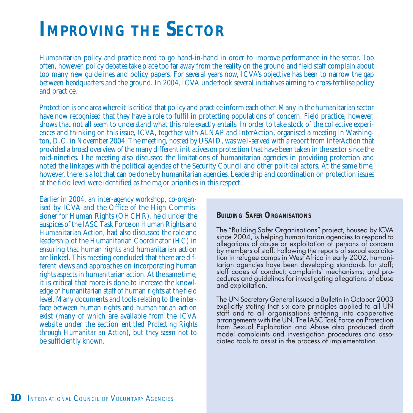### **IMPROVING THE SECTOR**

Humanitarian policy and practice need to go hand-in-hand in order to improve performance in the sector. Too often, however, policy debates take place too far away from the reality on the ground and field staff complain about too many new guidelines and policy papers. For several years now, ICVA's objective has been to narrow the gap between headquarters and the ground. In 2004, ICVA undertook several initiatives aiming to cross-fertilise policy and practice.

Protection is one area where it is critical that policy and practice inform each other. Many in the humanitarian sector have now recognised that they have a role to fulfil in protecting populations of concern. Field practice, however, shows that not all seem to understand what this role exactly entails. In order to take stock of the collective experiences and thinking on this issue, ICVA, together with ALNAP and InterAction, organised a meeting in Washington, D.C. in November 2004. The meeting, hosted by USAID, was well-served with a report from InterAction that provided a broad overview of the many different initiatives on protection that have been taken in the sector since the mid-nineties. The meeting also discussed the limitations of humanitarian agencies in providing protection and noted the linkages with the political agendas of the Security Council and other political actors. At the same time, however, there is a lot that can be done by humanitarian agencies. Leadership and coordination on protection issues at the field level were identified as the major priorities in this respect.

Earlier in 2004, an inter-agency workshop, co-organised by ICVA and the Office of the High Commissioner for Human Rights (OHCHR), held under the auspices of the IASC Task Force on Human Rights and Humanitarian Action, had also discussed the role and leadership of the Humanitarian Coordinator (HC) in ensuring that human rights and humanitarian action are linked. This meeting concluded that there are different views and approaches on incorporating human rights aspects in humanitarian action. At the same time, it is critical that more is done to increase the knowledge of humanitarian staff of human rights at the field level. Many documents and tools relating to the interface between human rights and humanitarian action exist (many of which are available from the ICVA website under the section entitled *Protecting Rights through Humanitarian Action*), but they seem not to be sufficiently known.

#### **BUILDING SAFER ORGANISATIONS**

The "Building Safer Organisations" project, housed by ICVA since 2004, is helping humanitarian agencies to respond to allegations of abuse or exploitation of persons of concern by members of staff. Following the reports of sexual exploitation in refugee camps in West Africa in early 2002, humanitarian agencies have been developing standards for staff; staff codes of conduct; complaints' mechanisms; and procedures and guidelines for investigating allegations of abuse and exploitation.

The UN Secretary-General issued a Bulletin in October 2003 explicitly stating that six core principles applied to all UN staff and to all organisations entering into cooperative arrangements with the UN. The IASC Task Force on Protection from Sexual Exploitation and Abuse also produced draft model complaints and investigation procedures and associated tools to assist in the process of implementation.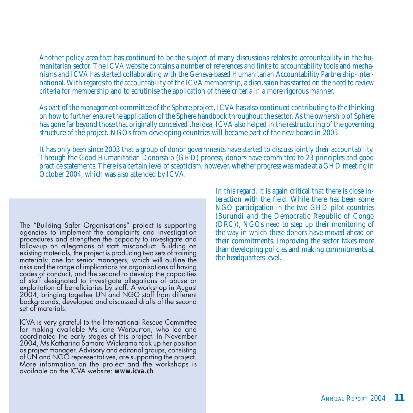Another policy area that has continued to be the subject of many discussions relates to accountability in the humanitarian sector. The ICVA website contains a number of references and links to accountability tools and mechanisms and ICVA has started collaborating with the Geneva-based Humanitarian Accountability Partnership-International. With regards to the accountability of the ICVA membership, a discussion has started on the need to review criteria for membership and to scrutinise the application of these criteria in a more rigorous manner.

As part of the management committee of the Sphere project, ICVA has also continued contributing to the thinking on how to further ensure the application of the Sphere handbook throughout the sector. As the ownership of Sphere has gone far beyond those that originally conceived the idea, ICVA also helped in the restructuring of the governing structure of the project. NGOs from developing countries will become part of the new board in 2005.

It has only been since 2003 that a group of donor governments have started to discuss jointly their accountability. Through the Good Humanitarian Donorship (GHD) process, donors have committed to 23 principles and good practice statements. There is a certain level of scepticism, however, whether progress was made at a GHD meeting in October 2004, which was also attended by ICVA.

The "Building Safer Organisations" project is supporting agencies to implement the complaints and investigation procedures and strengthen the capacity to investigate and follow-up on allegations of staff misconduct. Building on existing materials, the project is producing two sets of training materials: one for senior managers, which will outline the risks and the range of implications for organisations of having codes of conduct, and the second to develop the capacities of staff designated to investigate allegations of abuse or exploitation of beneficiaries by staff. A workshop in August 2004, bringing together UN and NGO staff from different backgrounds, developed and discussed drafts of the second set of materials.

ICVA is very grateful to the International Rescue Committee for making available Ms Jane Warburton, who led and coordinated the early stages of this project. In November 2004, Ms Katharina Samara-Wickrama took up her position as project manager. Advisory and editorial groups, consisting of UN and NGO representatives, are supporting the project. More information on the project and the workshops is available on the ICVA website: **www.icva.ch**.

In this regard, it is again critical that there is close interaction with the field. While there has been some NGO participation in the two GHD pilot countries (Burundi and the Democratic Republic of Congo (DRC)), NGOs need to step up their monitoring of the way in which these donors have moved ahead on their commitments. Improving the sector takes more than developing policies and making commitments at the headquarters level.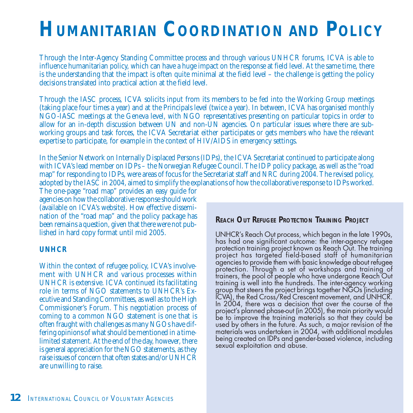## **HUMANITARIAN COORDINATION AND POLICY**

Through the Inter-Agency Standing Committee process and through various UNHCR forums, ICVA is able to influence humanitarian policy, which can have a huge impact on the response at field level. At the same time, there is the understanding that the impact is often quite minimal at the field level – the challenge is getting the policy decisions translated into practical action at the field level.

Through the IASC process, ICVA solicits input from its members to be fed into the Working Group meetings (taking place four times a year) and at the Principals level (twice a year). In between, ICVA has organised monthly NGO-IASC meetings at the Geneva level, with NGO representatives presenting on particular topics in order to allow for an in-depth discussion between UN and non-UN agencies. On particular issues where there are subworking groups and task forces, the ICVA Secretariat either participates or gets members who have the relevant expertise to participate, for example in the context of HIV/AIDS in emergency settings.

In the Senior Network on Internally Displaced Persons (IDPs), the ICVA Secretariat continued to participate along with ICVA's lead member on IDPs – the Norwegian Refugee Council. The IDP policy package, as well as the "road map" for responding to IDPs, were areas of focus for the Secretariat staff and NRC during 2004. The revised policy, adopted by the IASC in 2004, aimed to simplify the explanations of how the collaborative response to IDPs worked.

The one-page "road map" provides an easy guide for agencies on how the collaborative response should work (available on ICVA's website). How effective dissemination of the "road map" and the policy package has been remains a question, given that there were not published in hard copy format until mid 2005.

#### **UNHCR**

Within the context of refugee policy, ICVA's involvement with UNHCR and various processes within UNHCR is extensive. ICVA continued its facilitating role in terms of NGO statements to UNHCR's Executive and Standing Committees, as well as to the High Commissioner's Forum. This negotiation process of coming to a common NGO statement is one that is often fraught with challenges as many NGOs have differing opinions of what should be mentioned in a timelimited statement. At the end of the day, however, there is general appreciation for the NGO statements, as they raise issues of concern that often states and/or UNHCR are unwilling to raise.

#### **REACH OUT REFUGEE PROTECTION TRAINING PROJECT**

UNHCR's Reach Out process, which began in the late 1990s, has had one significant outcome: the inter-agency refugee protection training project known as Reach Out. The training project has targeted field-based staff of humanitarian agencies to provide them with basic knowledge about refugee protection. Through a set of workshops and training of trainers, the pool of people who have undergone Reach Out training is well into the hundreds. The inter-agency working group that steers the project brings together NGOs (including ICVA), the Red Cross/Red Crescent movement, and UNHCR. In 2004, there was a decision that over the course of the project's planned phase-out (in 2005), the main priority would be to improve the training materials so that they could be used by others in the future. As such, a major revision of the materials was undertaken in 2004, with additional modules being created on IDPs and gender-based violence, including sexual exploitation and abuse.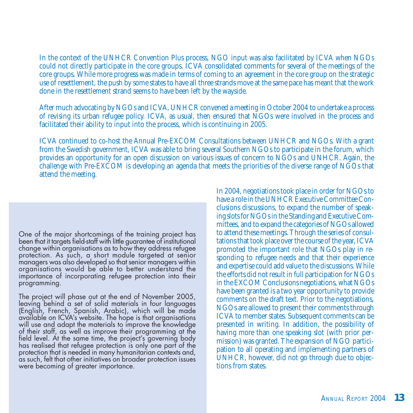In the context of the UNHCR Convention Plus process, NGO input was also facilitated by ICVA when NGOs could not directly participate in the core groups. ICVA consolidated comments for several of the meetings of the core groups. While more progress was made in terms of coming to an agreement in the core group on the strategic use of resettlement, the push by some states to have all three strands move at the same pace has meant that the work done in the resettlement strand seems to have been left by the wayside.

After much advocating by NGOs and ICVA, UNHCR convened a meeting in October 2004 to undertake a process of revising its urban refugee policy. ICVA, as usual, then ensured that NGOs were involved in the process and facilitated their ability to input into the process, which is continuing in 2005.

ICVA continued to co-host the Annual Pre-EXCOM Consultations between UNHCR and NGOs. With a grant from the Swedish government, ICVA was able to bring several Southern NGOs to participate in the forum, which provides an opportunity for an open discussion on various issues of concern to NGOs and UNHCR. Again, the challenge with Pre-EXCOM is developing an agenda that meets the priorities of the diverse range of NGOs that attend the meeting.

One of the major shortcomings of the training project has been that it targets field-staff with little guarantee of institutional change within organisations as to how they address refugee protection. As such, a short module targeted at senior managers was also developed so that senior managers within organisations would be able to better understand the importance of incorporating refugee protection into their programming.

The project will phase out at the end of November 2005, leaving behind a set of solid materials in four languages (English, French, Spanish, Arabic), which will be made available on ICVA's website. The hope is that organisations will use and adapt the materials to improve the knowledge of their staff, as well as improve their programming at the field level. At the same time, the project's governing body has realised that refugee protection is only one part of the protection that is needed in many humanitarian contexts and, as such, felt that other initiatives on broader protection issues were becoming of greater importance.

In 2004, negotiations took place in order for NGOs to have a role in the UNHCR Executive Committee Conclusions discussions, to expand the number of speaking slots for NGOs in the Standing and Executive Committees, and to expand the categories of NGOs allowed to attend these meetings. Through the series of consultations that took place over the course of the year, ICVA promoted the important role that NGOs play in responding to refugee needs and that their experience and expertise could add value to the discussions. While the efforts did not result in full participation for NGOs in the EXCOM Conclusions negotiations, what NGOs have been granted is a two year opportunity to provide comments on the draft text. Prior to the negotiations, NGOs are allowed to present their comments through ICVA to member states. Subsequent comments can be presented in writing. In addition, the possibility of having more than one speaking slot (with prior permission) was granted. The expansion of NGO participation to all operating and implementing partners of UNHCR, however, did not go through due to objections from states.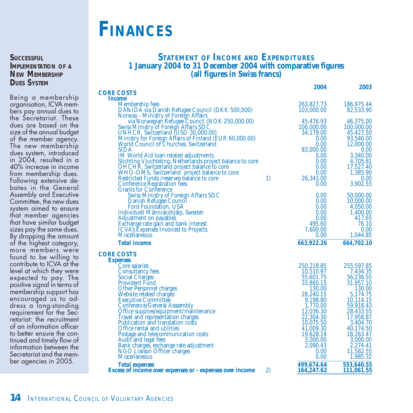### **FINANCES**

**SUCCESSFUL IMPLEMENTATION OF <sup>A</sup> NEW MEMBERSHIP DUES SYSTEM**

Being a membership organisation, ICVA members pay annual dues to the Secretariat. These dues are based on the size of the annual budget of the member agency. The new membership dues system, introduced in 2004, resulted in a 40% increase in income from membership dues. Following extensive debates in the General Assembly and Executive Committee, the new dues system aimed to ensure that member agencies that have similar budget sizes pay the same dues. By dropping the amount of the highest category, more members were found to be willing to contribute to ICVA at the level at which they were expected to pay. The positive signal in terms of membership support has encouraged us to address a long-standing requirement for the Secretariat: the recruitment of an information officer to better ensure the continued and timely flow of information between the Secretariat and the member agencies in 2005.

#### **STATEMENT OF INCOME AND EXPENDITURES 1 January 2004 to 31 December 2004 with comparative figures (all figures in Swiss francs)**

|                                                                             |    | 2004              | 2003                   |
|-----------------------------------------------------------------------------|----|-------------------|------------------------|
| <b>CORE COSTS</b>                                                           |    |                   |                        |
| <i>Income</i>                                                               |    |                   |                        |
| <b>Membership fees</b>                                                      |    | 263,827.73        | 186,975.44             |
| DANIDA via Danish Refugee Council (DKK 500,000)                             |    | 103,000.00        | 82,533.90              |
| Norway - Ministry of Foreign Affairs                                        |    |                   |                        |
| via Norwegian Refugee Council (NOK 250,000.00)                              |    | 45,476.93         | 46,375.00              |
| Swiss Ministry of Foreign Affairs SDC<br>UNHCR, Switzerland (USD 30,000.00) |    | 100,000.00        | 100,000.00             |
| Ministry for Foreign Affairs of Finland (EUR 60,000.00)                     |    | 34,179.00<br>0.00 | 45,427.50<br>93,540.00 |
| World Council of Churches, Switzerland                                      |    | 0.00              | 12,000.00              |
| <b>SIDA</b>                                                                 |    | 83,000.00         | 0.00                   |
| <b>IM World Aid loan-related adjustments</b>                                |    | 0.00              | 3,340.00               |
| Stichting Vluchteling, Netherlands project balance to core                  |    | 0.00              | 4,705.81               |
| OHCHR, Switzerland project balance to core                                  |    | 0.00              | 17,527.40              |
| WHO-OMS, Switzerland project balance to core                                |    | 0.00 <sub>1</sub> | 1,385.90               |
| Restricted Funds / reserves balance to core                                 | 1) | 26,343.00         | 0.00                   |
| <b>Conference Registration fees</b>                                         |    | 0.00              | 3,902.55               |
| <b>Grants for Conference</b>                                                |    |                   |                        |
| <b>Swiss Ministry of Foreign Affairs SDC</b>                                |    | 0.00              | 50,000.00              |
| Danish Refugee Council                                                      |    | 0.00              | 10,000.00              |
| <b>Ford Foundation, USA</b>                                                 |    | 0.00              | 4.050.00               |
| Individuell Människohjälp, Sweden                                           |    | 0.00              | 1,400.00               |
| <b>Adjustment on payables</b>                                               |    | 0.00              | 417.65                 |
| Exchange rate gain and bank interest                                        |    | 495.60            | 76.10                  |
| <b>ICVA's Expenses Invoiced to Projects</b>                                 |    | 7,600.00          | 0.00                   |
| <b>Miscellaneous</b>                                                        |    | 0.00              | 1,044.85               |
| <b>Total income</b>                                                         |    | 663,922.26        | 664,702.10             |
| <b>CORE COSTS</b>                                                           |    |                   |                        |
| <b>Expenses</b>                                                             |    |                   |                        |
| <b>Core salaries</b>                                                        |    | 250,218.85        | 255,597.85             |
| <b>Consultancy fees</b>                                                     |    | 10.510.97         | 7.434.35               |
| <b>Social Charges</b>                                                       |    | 55,601.75         | 56,236.55              |
| <b>Provident Fund</b>                                                       |    | 33,860.15         | 31,957.10              |
| <b>Other Personnel charges</b>                                              |    | 130.00            | 130.00                 |
| Website related charges                                                     |    | 28,240.15         | 5.174.75               |
| <b>Executive Committee</b>                                                  |    | 9,198.80          | 10,114.15              |
| <b>Conference/General Asssembly</b>                                         |    | 1,770.00          | 59,918.43              |
| Office supplies/equipment/maintenance                                       |    | 12,036.30         | 28,433.55              |
| Travel and representation charges                                           |    | 22,304.30         | 17,958.87              |
| Publication and translation costs                                           |    | 10,075.50         | 3,404.70               |
| Office rental and utilities                                                 |    | 41,009.30         | 40,174.50              |
| Postage and telecommunication costs                                         |    | 19,628.14         | 18,263.47              |
| <b>Audit and legal fees</b>                                                 |    | 3,000.00          | 3.000.00               |
| Bank charges, exchange rate adjustment                                      |    | 2,090.43          | 2,274.41               |
| NGO Liaison Officer charges<br><b>Miscellaneous</b>                         |    | 0.00<br>0.00      | 11,582.55<br>1,985.32  |
|                                                                             |    |                   |                        |
| <b>Total expenses</b>                                                       |    | 499,674.64        | 553,640.55             |
| <b>Excess of income over expenses or - expenses over income</b>             | 2) | 164,247.62        | 111,061.55             |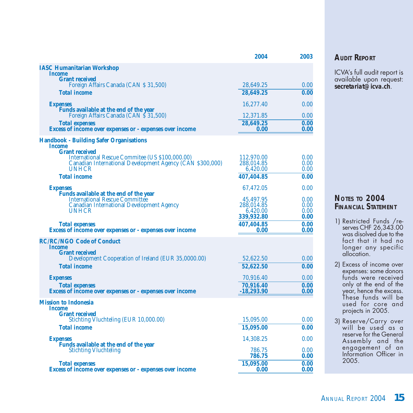|                                                                                          | 2004                   | 2003         |
|------------------------------------------------------------------------------------------|------------------------|--------------|
| <b>IASC Humanitarian Workshop</b>                                                        |                        |              |
| <b>Income</b><br><b>Grant received</b>                                                   |                        |              |
| Foreign Affairs Canada (CAN \$ 31,500)                                                   | 28,649.25              | 0.00         |
| <b>Total income</b>                                                                      | 28,649.25              | 0.00         |
| <b>Expenses</b>                                                                          | 16,277.40              | 0.00         |
| Funds available at the end of the year                                                   |                        |              |
| Foreign Affairs Canada (CAN \$ 31,500)                                                   | 12,371.85<br>28.649.25 | 0.00<br>0.00 |
| <b>Total expenses</b><br><b>Excess of income over expenses or - expenses over income</b> | 0.00                   | 0.00         |
| <b>Handbook - Building Safer Organisations</b>                                           |                        |              |
| <b>Income</b>                                                                            |                        |              |
| <b>Grant received</b><br>International Rescue Commitee (US \$100,000.00)                 | 112,970.00             | 0.00         |
| Canadian International Development Agency (CAN \$300,000)                                | 288,014.85             | 0.00         |
| UNHCR                                                                                    | 6,420.00               | 0.00         |
| <b>Total income</b>                                                                      | 407,404.85             | 0.00         |
| <b>Expenses</b>                                                                          | 67,472.05              | 0.00         |
| Funds available at the end of the year                                                   |                        |              |
| <b>International Rescue Committée</b>                                                    | 45,497.95              | 0.00         |
| <b>Canadian International Development Agency</b><br><b>UNHCR</b>                         | 288,014.85<br>6,420.00 | 0.00<br>0.00 |
|                                                                                          | 339,932.80             | 0.00         |
| <b>Total expenses</b>                                                                    | 407,404.85             | 0.00         |
| <b>Excess of income over expenses or - expenses over income</b>                          | 0.00                   | 0.00         |
| <b>RC/RC/NGO Code of Conduct</b>                                                         |                        |              |
| <i>Income</i>                                                                            |                        |              |
| <b>Grant received</b><br>Development Cooperation of Ireland (EUR 35,0000.00)             | 52,622.50              | 0.00         |
|                                                                                          |                        |              |
| <b>Total income</b>                                                                      | 52,622.50              | 0.00         |
| <b>Expenses</b>                                                                          | 70,916.40              | 0.00         |
| <b>Total expenses</b>                                                                    | 70,916.40              | 0.00         |
| <b>Excess of income over expenses or - expenses over income</b>                          | $-18,293.90$           | 0.00         |
| <b>Mission to Indonesia</b>                                                              |                        |              |
| <i>Income</i><br><b>Grant received</b>                                                   |                        |              |
| Stichting Vluchteling (EUR 10,000.00)                                                    | 15,095.00              | 0.00         |
| <b>Total income</b>                                                                      | 15,095.00              | 0.00         |
| <b>Expenses</b>                                                                          | 14,308.25              | 0.00         |
| Funds available at the end of the year                                                   |                        |              |
| <b>Stichting Vluchteling</b>                                                             | 786.75                 | 0.00         |
|                                                                                          | 786.75                 | 0.00         |
| <b>Total expenses</b>                                                                    | 15,095.00              | 0.00         |
| <b>Excess of income over expenses or - expenses over income</b>                          | 0.00                   | 0.00         |

#### **AUDIT REPORT**

ICVA's full audit report is available upon request: **secretariat@icva.ch**.

#### **NOTES TO 2004 FINANCIAL STATEMENT**

- 1) Restricted Funds /reserves CHF 26,343.00 was disolved due to the fact that it had no longer any specific allocation.
- 2) Excess of income over expenses: some donors funds were received only at the end of the year, hence the excess. These funds will be used for core and projects in 2005.
- 3) Reserve/Carry over will be used as a reserve for the General Assembly and the engagement of an Information Officer in 2005.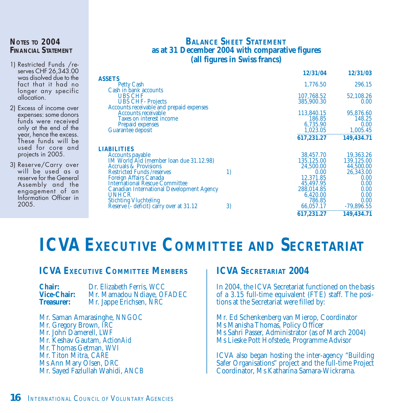#### **NOTES TO 2004 FINANCIAL STATEMENT**

- 1) Restricted Funds /reserves CHF 26,343.00 was disolved due to the fact that it had no longer any specific allocation.
- 2) Excess of income over expenses: some donors funds were received only at the end of the year, hence the excess. These funds will be used for core and projects in 2005.
- 3) Reserve/Carry over will be used as a reserve for the General Assembly and the engagement of an Information Officer in 2005.

#### **BALANCE SHEET STATEMENT as at 31 December 2004 with comparative figures (all figures in Swiss francs)**

|                                                  |    | 12/31/04   | 12/31/03     |
|--------------------------------------------------|----|------------|--------------|
| <b>ASSETS</b>                                    |    |            |              |
| <b>Petty Cash</b>                                |    | 1.776.50   | 296.15       |
| Cash in bank accounts                            |    |            |              |
| <b>UBS CHF</b>                                   |    | 107,768.52 | 52,108.26    |
| <b>UBS CHF-Projects</b>                          |    | 385,900.30 | 0.00         |
| Accounts receivable and prepaid expenses         |    |            |              |
| <b>Accounts receivable</b>                       |    | 113,840.15 | 95,876.60    |
| <b>Taxes on interest income</b>                  |    | 186.85     | 148.25       |
| <b>Prepaid expenses</b>                          |    | 6,735.90   | 0.00         |
| <b>Guarantee deposit</b>                         |    | 1,023.05   | 1,005.45     |
|                                                  |    | 617,231.27 | 149,434.71   |
| LIABILITIES                                      |    |            |              |
| <b>Accounts payable</b>                          |    | 38,457.70  | 19,363.26    |
| IM World Aid (member loan due 31.12.98)          |    | 135,125.00 | 139,125.00   |
| <b>Accruals &amp; Provisions</b>                 |    | 24,500.00  | 44,500.00    |
| <b>Restricted Funds /reserves</b>                | 1) | 0.00       | 26,343.00    |
| <b>Foreign Affairs Canada</b>                    |    | 12,371.85  | 0.00         |
| <b>International Rescue Committee</b>            |    | 45,497.95  | 0.00         |
| <b>Canadian International Development Agency</b> |    | 288,014.85 | 0.00         |
| <b>UNHCR</b>                                     |    | 6,420.00   | $0.00\,$     |
| <b>Stichting Vluchteling</b>                     |    | 786.85     | 0.00         |
| Reserve (- deficit) carry over at 31.12          | 3) | 66,057.17  | $-79,896.55$ |
|                                                  |    | 617,231.27 | 149,434.71   |

### **ICVA EXECUTIVE COMMITTEE AND SECRETARIAT**

#### **ICVA EXECUTIVE COMMITTEE MEMBERS**

**Chair:** Dr. Elizabeth Ferris, *WCC*<br>**Vice-Chair:** Mr Mamadou Ndiave *Ol* **Vice-Chair:** Mr. Mamadou Ndiaye, *OFADEC* **Treasurer:** Mr. Jappe Erichsen, *NRC*

Mr. Saman Amarasinghe, *NNGOC* Mr. Gregory Brown, *IRC* Mr. John Damerell, *LWF* Mr. Keshav Gautam, *ActionAid* Mr. Thomas Getman, *WVI* Mr. Titon Mitra, *CARE* Ms Ann Mary Olsen, *DRC* Mr. Sayed Fazlullah Wahidi, *ANCB*

#### **ICVA SECRETARIAT 2004**

In 2004, the ICVA Secretariat functioned on the basis of a 3.15 full-time equivalent (FTE) staff. The positions at the Secretariat were filled by:

Mr. Ed Schenkenberg van Mierop, Coordinator Ms Manisha Thomas, Policy Officer Ms Sahri Passer, Administrator (as of March 2004) Ms Lieske Pott Hofstede, Programme Advisor

ICVA also began hosting the inter-agency "Building Safer Organisations" project and the full-time Project Coordinator, Ms Katharina Samara-Wickrama.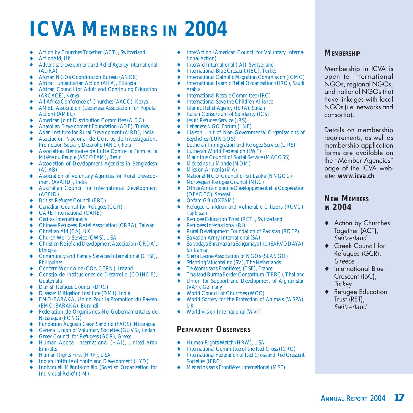## **ICVA MEMBERS IN 2004**

- ♦ Action by Churches Together (ACT), *Switzerland*
- ♦ ActionAid, *UK*
- Adventist Development and Relief Agency International (ADRA)
- ♦ Afghan NGOs Coordination Bureau (ANCB)
- ♦ Africa Humanitarian Action (AHA), *Ethiopia*
- ♦ African Council for Adult and Continuing Education (ARCACE), *Kenya*
- ♦ All Africa Conference of Churches (AACC), *Kenya*
- AMEL Association (Lebanese Association for Popular Action) (AMEL)
- ♦ American Joint Distribution Committee (AJDC)
- ♦ Anatolian Development Foundation (ADF), *Turkey*
- ♦ Asian Institute for Rural Development (AIRD), *India*
- Asociacion Nacional de Centros de Investigacion, Promocion Social y Desarollo (ANC), *Peru*
- ♦ Association Béninoise de Lutte Contre la Faim et la Misère du Peuple (ASCOFAM), *Benin*
- ♦ Association of Development Agencies in Bangladesh (ADAB)
- ♦ Association of Voluntary Agencies for Rural Development (AVARD), *India*
- ♦ Australian Council for International Development (ACFID)
- ♦ British Refugee Council (BRC)
- ◆ Canadian Council for Refugees (CCR)<br>← CARE International (CARE)
- $\leftarrow$  CARE International (CARE)<br>  $\leftarrow$  Caritas Internationalis
- Caritas Internationalis
- ♦ Chinese Refugees' Relief Association (CRRA), *Taiwan*
- ♦ Christian Aid (CA), *UK*
- ♦ Church World Service (CWS), *USA*
- ♦ Christian Relief and Development Association (CRDA), *Ethiopia*
- ♦ Community and Family Services International (CFSI), *Philippines*
- ♦ Concern Worldwide (CONCERN), *Ireland*
- ♦ Consejo de Instituciones de Desarrollo (COINDE), *Guatemala*
- ♦ Danish Refugee Council (DRC)
- ♦ Disaster Mitigation Institute (DMI), *India*
- ♦ EMO-BARAKA, Union Pour la Promotion du Paysan (EMO-BARAKA), *Burundi*
- ♦ Federacion de Organismos No Gubernamentales de Nicaragua (FONG)
- ♦ Fundacion Augusto Cesar Sandino (FACS), *Nicaragua*
- ♦ General Union of Voluntary Societies (GUVS), *Jordan*
- Greek Council for Refugees (GCR), *Greece*
- ♦ Human Appeal International (HAI), *United Arab Emirates*
- ♦ Human Rights First (HRF), *USA*
- Indian Institute of Youth and Development (IIYD)
- ♦ Individuell Människohjälp (Swedish Organisation for Individual Relief) (IM)
- ♦ InterAction (American Council for Voluntary International Action)
- ♦ InterAid International (IAI), *Switzerland*
- ♦ International Blue Crescent (IBC), *Turkey*
- **International Catholic Migration Commission (ICMC)**
- ♦ International Islamic Relief Organisation (IIRO), *Saudi Arabia*
- International Rescue Committee (IRC)
- International Save the Children Alliance
- ♦ Islamic Relief Agency (ISRA), *Sudan*
- Italian Consortium of Solidarity (ICS)
- **Jesuit Refugee Service (JRS)**
- Lebanese NGO Forum (LNF)
- Liaison Unit of Non-Governmental Organisations of Seychelles (LUNGOS)
- Lutheran Immigration and Refugee Service (LIRS)
- Lutheran World Federation (LWF)
- Mauritius Council of Social Service (MACOSS)
- ♦ Médecins du Monde (MDM)
- ◆ Mission Armenia (MA)<br>◆ National NGO Counci
- National NGO Council of Sri Lanka (NNGOC)
- Norwegian Refugee Council (NRC)
- Office Africain pour le Développement et la Coopération (OFADEC), *Senegal*
- ♦ Oxfam GB (OXFAM)
- Refugee Children and Vulnerable Citizens (RCVC), *Tajikistan*
- ♦ Refugee Education Trust (RET), *Switzerland*
- Refugees International (RI)
- Rural Development Foundation of Pakistan (RDFP)
- Salvation Army International (SA)
- Sarvodaya Shramadana Sangamaya Inc. (SARVODAYA), *Sri Lanka*
- Sierra Leone Association of NGOs (SLANGO)
- ♦ Stichting Vluchteling (SV), *The Netherlands*
- ♦ Télécoms sans Frontières, (TSF), *France*
- ♦ Thailand Burma Border Consortium (TBBC), *Thailand*
- Union for Support and Development of Afghanistan (VAF), *Germany*
- World Council of Churches (WCC)
- World Society for the Protection of Animals (WSPA), *UK*
- ♦ World Vision International (WVI)

#### **PERMANENT OBSERVERS**

- ♦ Human Rights Watch (HRW), *USA*
- ◆ International Committee of the Red Cross (ICRC)<br>● International Federation of Red Cross and Red Cross
- International Federation of Red Cross and Red Crescent Societies (IFRC)
- ♦ Médecins sans Frontières International (MSF)

#### **MEMBERSHIP**

Membership in ICVA is open to international NGOs, regional NGOs, and national NGOs that have linkages with local NGOs (i.e. networks and consortia).

Details on membership requirements, as well as membership application forms are available on the "Member Agencies" page of the ICVA website: **www.icva.ch**

#### **NEW MEMBERS IN 2004**

- ◆ Action by Churches Together (ACT), Switzerland
- ♦ Greek Council for Refugees (GCR), **Greece**
- ♦ International Blue Crescent (IBC), **Turkey**
- ♦ Refugee Education Trust (RET), Switzerland